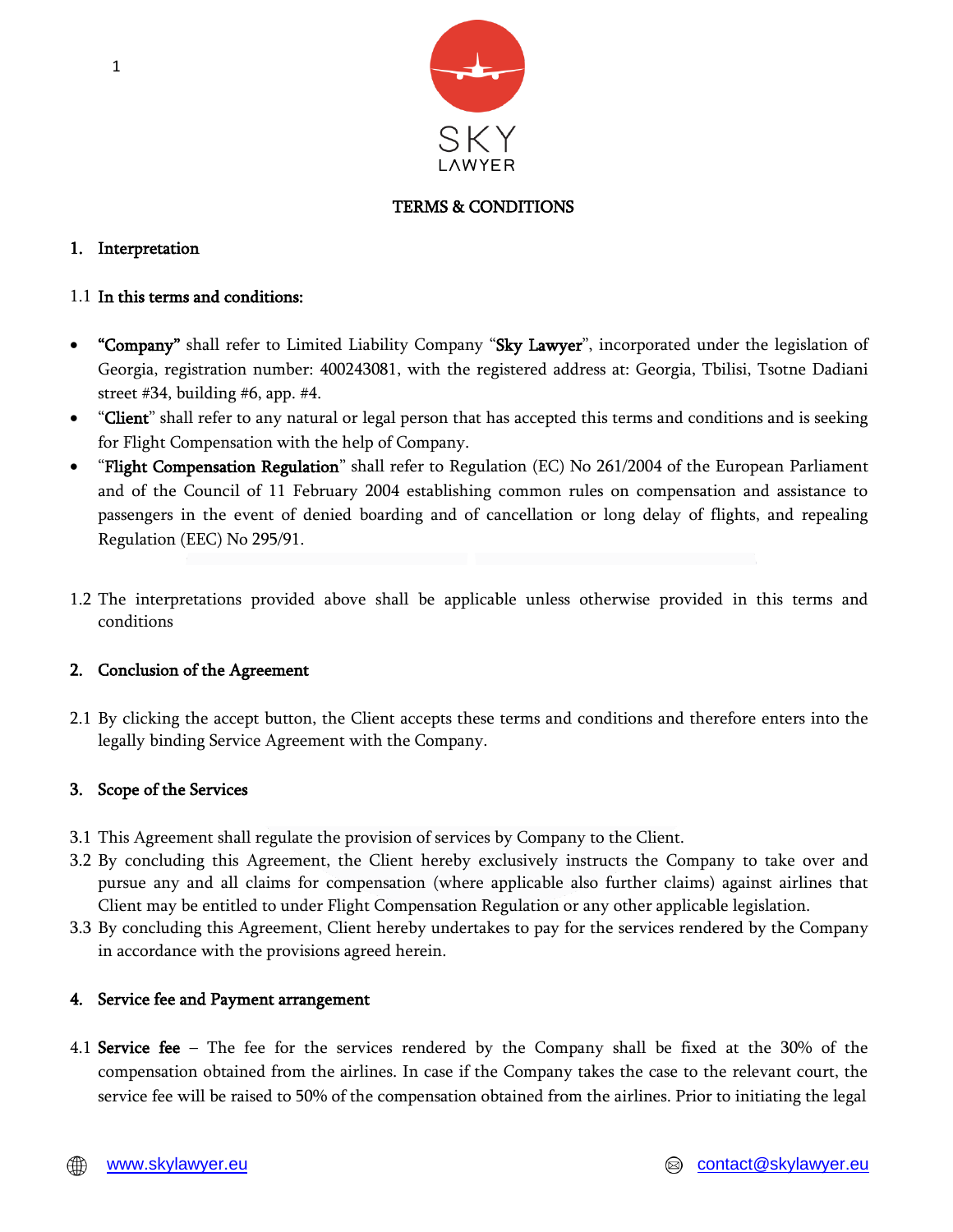

# TERMS & CONDITIONS

## 1. Interpretation

## 1.1 In this terms and conditions:

- "Company" shall refer to Limited Liability Company "Sky Lawyer", incorporated under the legislation of Georgia, registration number: 400243081, with the registered address at: Georgia, Tbilisi, Tsotne Dadiani street #34, building #6, app. #4.
- "Client" shall refer to any natural or legal person that has accepted this terms and conditions and is seeking for Flight Compensation with the help of Company.
- "Flight Compensation Regulation" shall refer to Regulation (EC) No 261/2004 of the European Parliament and of the Council of 11 February 2004 establishing common rules on compensation and assistance to passengers in the event of denied boarding and of cancellation or long delay of flights, and repealing Regulation (EEC) No 295/91.
- 1.2 The interpretations provided above shall be applicable unless otherwise provided in this terms and conditions

## 2. Conclusion of the Agreement

2.1 By clicking the accept button, the Client accepts these terms and conditions and therefore enters into the legally binding Service Agreement with the Company.

# 3. Scope of the Services

- 3.1 This Agreement shall regulate the provision of services by Company to the Client.
- 3.2 By concluding this Agreement, the Client hereby exclusively instructs the Company to take over and pursue any and all claims for compensation (where applicable also further claims) against airlines that Client may be entitled to under Flight Compensation Regulation or any other applicable legislation.
- 3.3 By concluding this Agreement, Client hereby undertakes to pay for the services rendered by the Company in accordance with the provisions agreed herein.

## 4. Service fee and Payment arrangement

4.1 Service fee – The fee for the services rendered by the Company shall be fixed at the 30% of the compensation obtained from the airlines. In case if the Company takes the case to the relevant court, the service fee will be raised to 50% of the compensation obtained from the airlines. Prior to initiating the legal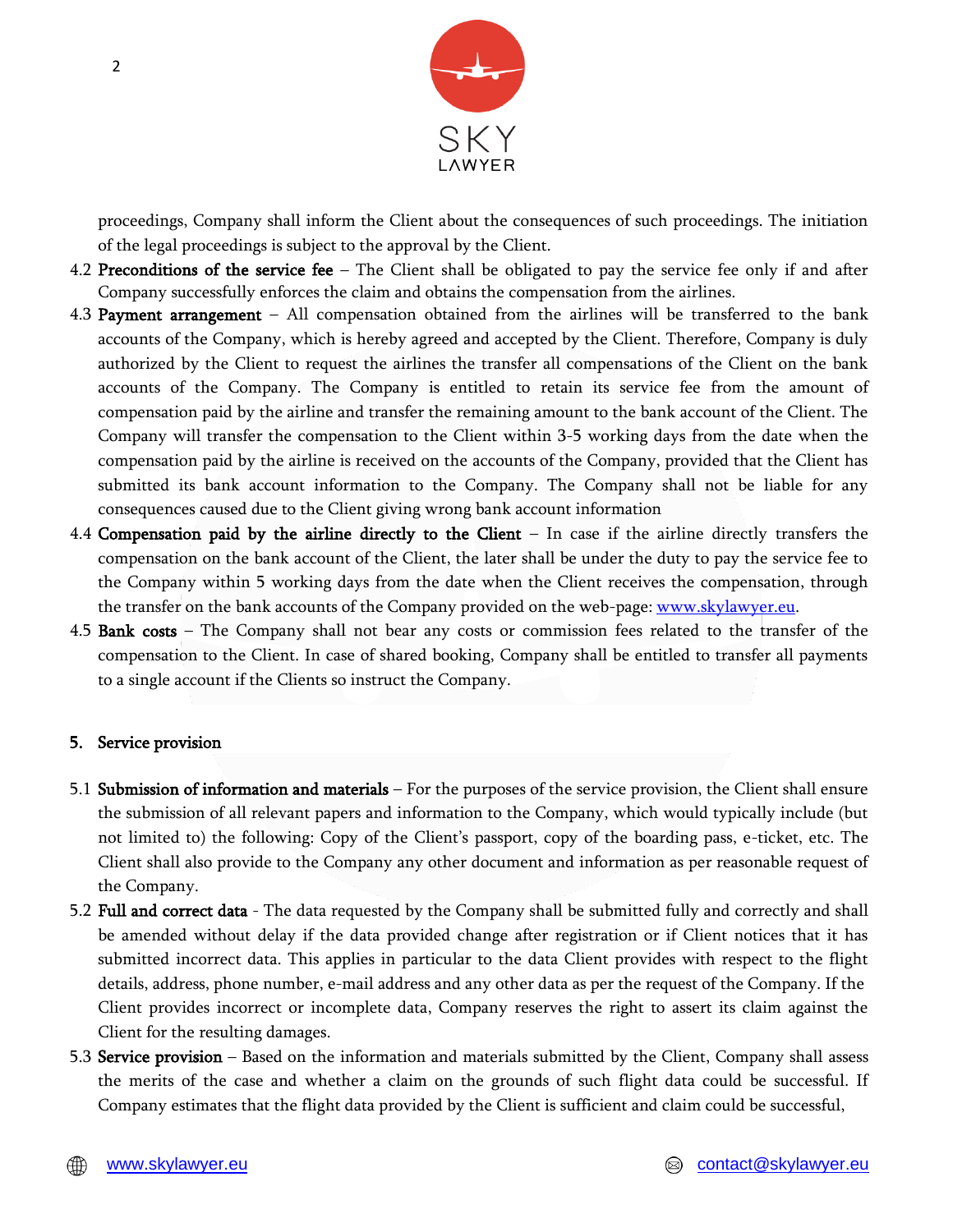

proceedings, Company shall inform the Client about the consequences of such proceedings. The initiation of the legal proceedings is subject to the approval by the Client.

- 4.2 Preconditions of the service fee The Client shall be obligated to pay the service fee only if and after Company successfully enforces the claim and obtains the compensation from the airlines.
- 4.3 Payment arrangement All compensation obtained from the airlines will be transferred to the bank accounts of the Company, which is hereby agreed and accepted by the Client. Therefore, Company is duly authorized by the Client to request the airlines the transfer all compensations of the Client on the bank accounts of the Company. The Company is entitled to retain its service fee from the amount of compensation paid by the airline and transfer the remaining amount to the bank account of the Client. The Company will transfer the compensation to the Client within 3-5 working days from the date when the compensation paid by the airline is received on the accounts of the Company, provided that the Client has submitted its bank account information to the Company. The Company shall not be liable for any consequences caused due to the Client giving wrong bank account information
- 4.4 Compensation paid by the airline directly to the Client In case if the airline directly transfers the compensation on the bank account of the Client, the later shall be under the duty to pay the service fee to the Company within 5 working days from the date when the Client receives the compensation, through the transfer on the bank accounts of the Company provided on the web-page: [www.skylawyer.e](http://www.skylawyer./)u.
- 4.5 Bank costs The Company shall not bear any costs or commission fees related to the transfer of the compensation to the Client. In case of shared booking, Company shall be entitled to transfer all payments to a single account if the Clients so instruct the Company.

#### 5. Service provision

- 5.1 Submission of information and materials For the purposes of the service provision, the Client shall ensure the submission of all relevant papers and information to the Company, which would typically include (but not limited to) the following: Copy of the Client's passport, copy of the boarding pass, e-ticket, etc. The Client shall also provide to the Company any other document and information as per reasonable request of the Company.
- 5.2 Full and correct data The data requested by the Company shall be submitted fully and correctly and shall be amended without delay if the data provided change after registration or if Client notices that it has submitted incorrect data. This applies in particular to the data Client provides with respect to the flight details, address, phone number, e-mail address and any other data as per the request of the Company. If the Client provides incorrect or incomplete data, Company reserves the right to assert its claim against the Client for the resulting damages.
- 5.3 Service provision Based on the information and materials submitted by the Client, Company shall assess the merits of the case and whether a claim on the grounds of such flight data could be successful. If Company estimates that the flight data provided by the Client is sufficient and claim could be successful,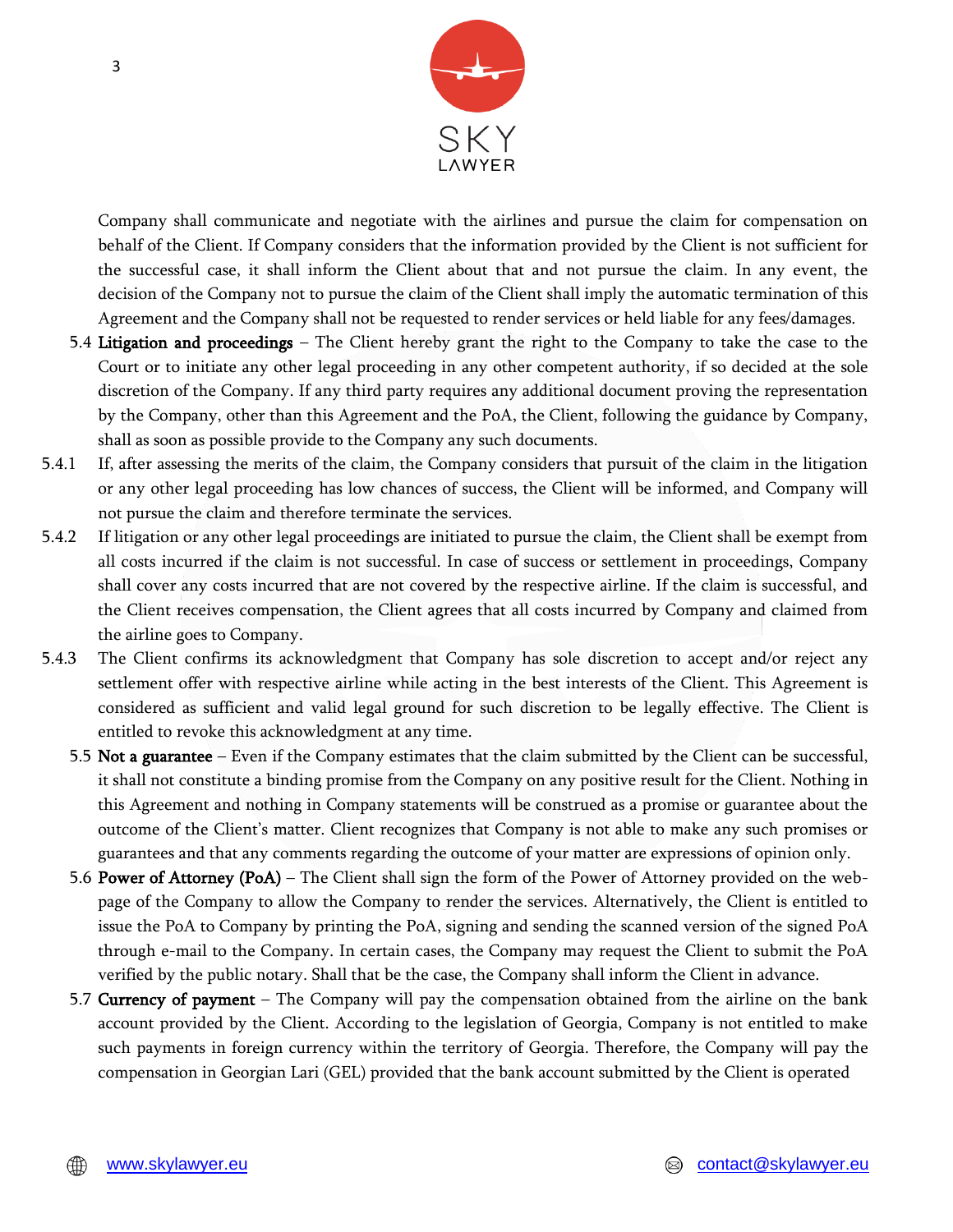

Company shall communicate and negotiate with the airlines and pursue the claim for compensation on behalf of the Client. If Company considers that the information provided by the Client is not sufficient for the successful case, it shall inform the Client about that and not pursue the claim. In any event, the decision of the Company not to pursue the claim of the Client shall imply the automatic termination of this Agreement and the Company shall not be requested to render services or held liable for any fees/damages.

- 5.4 Litigation and proceedings The Client hereby grant the right to the Company to take the case to the Court or to initiate any other legal proceeding in any other competent authority, if so decided at the sole discretion of the Company. If any third party requires any additional document proving the representation by the Company, other than this Agreement and the PoA, the Client, following the guidance by Company, shall as soon as possible provide to the Company any such documents.
- 5.4.1 If, after assessing the merits of the claim, the Company considers that pursuit of the claim in the litigation or any other legal proceeding has low chances of success, the Client will be informed, and Company will not pursue the claim and therefore terminate the services.
- 5.4.2 If litigation or any other legal proceedings are initiated to pursue the claim, the Client shall be exempt from all costs incurred if the claim is not successful. In case of success or settlement in proceedings, Company shall cover any costs incurred that are not covered by the respective airline. If the claim is successful, and the Client receives compensation, the Client agrees that all costs incurred by Company and claimed from the airline goes to Company.
- 5.4.3 The Client confirms its acknowledgment that Company has sole discretion to accept and/or reject any settlement offer with respective airline while acting in the best interests of the Client. This Agreement is considered as sufficient and valid legal ground for such discretion to be legally effective. The Client is entitled to revoke this acknowledgment at any time.
	- 5.5 Not a guarantee Even if the Company estimates that the claim submitted by the Client can be successful, it shall not constitute a binding promise from the Company on any positive result for the Client. Nothing in this Agreement and nothing in Company statements will be construed as a promise or guarantee about the outcome of the Client's matter. Client recognizes that Company is not able to make any such promises or guarantees and that any comments regarding the outcome of your matter are expressions of opinion only.
	- 5.6 Power of Attorney (PoA) The Client shall sign the form of the Power of Attorney provided on the webpage of the Company to allow the Company to render the services. Alternatively, the Client is entitled to issue the PoA to Company by printing the PoA, signing and sending the scanned version of the signed PoA through e-mail to the Company. In certain cases, the Company may request the Client to submit the PoA verified by the public notary. Shall that be the case, the Company shall inform the Client in advance.
	- 5.7 Currency of payment The Company will pay the compensation obtained from the airline on the bank account provided by the Client. According to the legislation of Georgia, Company is not entitled to make such payments in foreign currency within the territory of Georgia. Therefore, the Company will pay the compensation in Georgian Lari (GEL) provided that the bank account submitted by the Client is operated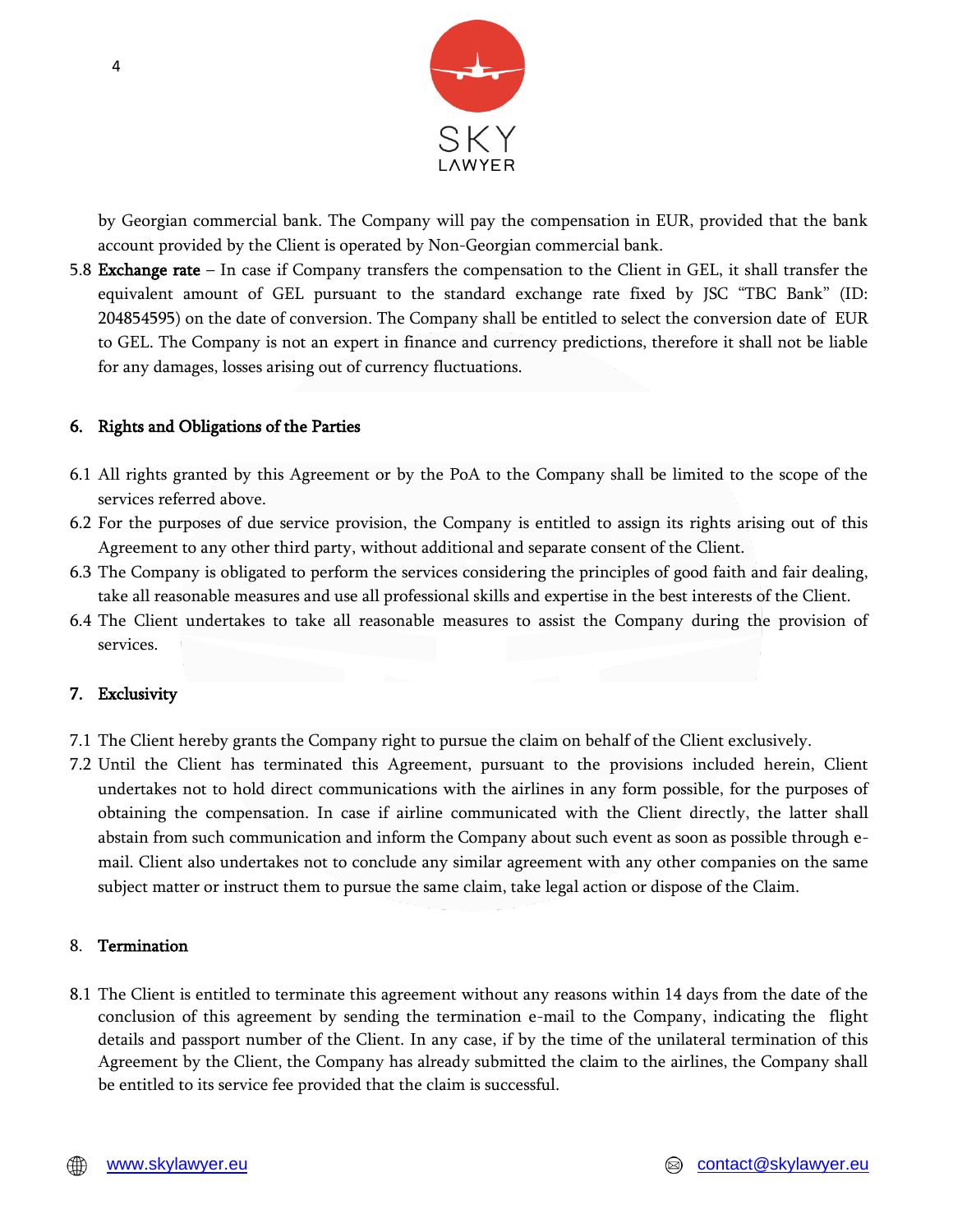

by Georgian commercial bank. The Company will pay the compensation in EUR, provided that the bank account provided by the Client is operated by Non-Georgian commercial bank.

5.8 Exchange rate – In case if Company transfers the compensation to the Client in GEL, it shall transfer the equivalent amount of GEL pursuant to the standard exchange rate fixed by JSC "TBC Bank" (ID: 204854595) on the date of conversion. The Company shall be entitled to select the conversion date of EUR to GEL. The Company is not an expert in finance and currency predictions, therefore it shall not be liable for any damages, losses arising out of currency fluctuations.

## 6. Rights and Obligations of the Parties

- 6.1 All rights granted by this Agreement or by the PoA to the Company shall be limited to the scope of the services referred above.
- 6.2 For the purposes of due service provision, the Company is entitled to assign its rights arising out of this Agreement to any other third party, without additional and separate consent of the Client.
- 6.3 The Company is obligated to perform the services considering the principles of good faith and fair dealing, take all reasonable measures and use all professional skills and expertise in the best interests of the Client.
- 6.4 The Client undertakes to take all reasonable measures to assist the Company during the provision of services.

## 7. Exclusivity

- 7.1 The Client hereby grants the Company right to pursue the claim on behalf of the Client exclusively.
- 7.2 Until the Client has terminated this Agreement, pursuant to the provisions included herein, Client undertakes not to hold direct communications with the airlines in any form possible, for the purposes of obtaining the compensation. In case if airline communicated with the Client directly, the latter shall abstain from such communication and inform the Company about such event as soon as possible through email. Client also undertakes not to conclude any similar agreement with any other companies on the same subject matter or instruct them to pursue the same claim, take legal action or dispose of the Claim.

## 8. Termination

8.1 The Client is entitled to terminate this agreement without any reasons within 14 days from the date of the conclusion of this agreement by sending the termination e-mail to the Company, indicating the flight details and passport number of the Client. In any case, if by the time of the unilateral termination of this Agreement by the Client, the Company has already submitted the claim to the airlines, the Company shall be entitled to its service fee provided that the claim is successful.